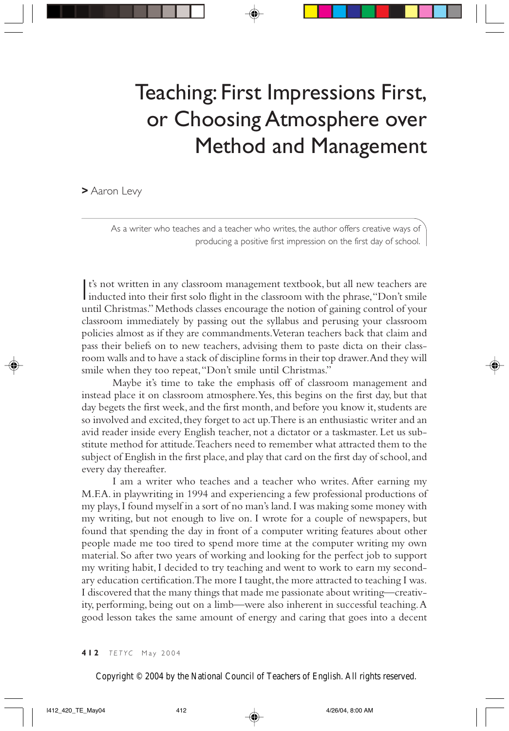## Teaching: First Impressions First, or Choosing Atmosphere over Method and Management

**>** Aaron Levy

As a writer who teaches and a teacher who writes, the author offers creative ways of producing a positive first impression on the first day of school.

I's not written in any classroom management textbook, but all new teachers are inducted into their first solo flight in the classroom with the phrase, "Don't smile t's not written in any classroom management textbook, but all new teachers are until Christmas." Methods classes encourage the notion of gaining control of your classroom immediately by passing out the syllabus and perusing your classroom policies almost as if they are commandments. Veteran teachers back that claim and pass their beliefs on to new teachers, advising them to paste dicta on their classroom walls and to have a stack of discipline forms in their top drawer. And they will smile when they too repeat, "Don't smile until Christmas."

Maybe it's time to take the emphasis off of classroom management and instead place it on classroom atmosphere. Yes, this begins on the first day, but that day begets the first week, and the first month, and before you know it, students are so involved and excited, they forget to act up. There is an enthusiastic writer and an avid reader inside every English teacher, not a dictator or a taskmaster. Let us substitute method for attitude. Teachers need to remember what attracted them to the subject of English in the first place, and play that card on the first day of school, and every day thereafter.

I am a writer who teaches and a teacher who writes. After earning my M.F.A. in playwriting in 1994 and experiencing a few professional productions of my plays, I found myself in a sort of no man's land. I was making some money with my writing, but not enough to live on. I wrote for a couple of newspapers, but found that spending the day in front of a computer writing features about other people made me too tired to spend more time at the computer writing my own material. So after two years of working and looking for the perfect job to support my writing habit, I decided to try teaching and went to work to earn my secondary education certification. The more I taught, the more attracted to teaching I was. I discovered that the many things that made me passionate about writing—creativity, performing, being out on a limb—were also inherent in successful teaching. A good lesson takes the same amount of energy and caring that goes into a decent

Copyright © 2004 by the National Council of Teachers of English. All rights reserved.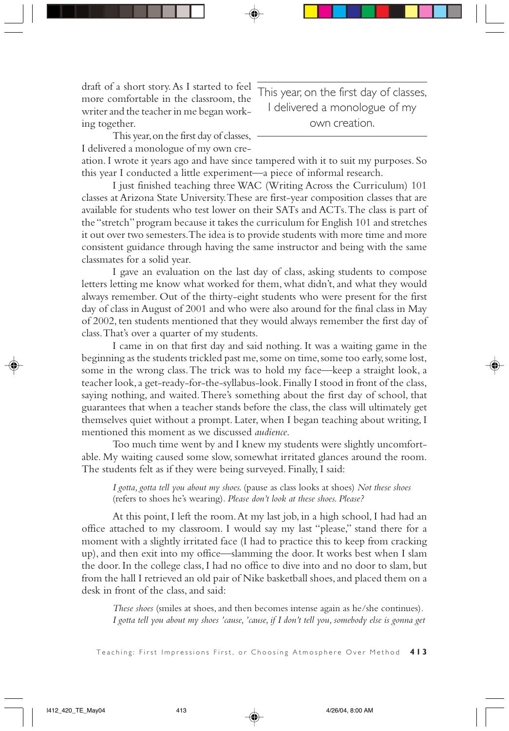draft of a short story. As I started to feel more comfortable in the classroom, the writer and the teacher in me began working together.

This year, on the first day of classes, I delivered a monologue of my own creation.

This year, on the first day of classes, I delivered a monologue of my own cre-

ation. I wrote it years ago and have since tampered with it to suit my purposes. So this year I conducted a little experiment—a piece of informal research.

I just finished teaching three WAC (Writing Across the Curriculum) 101 classes at Arizona State University. These are first-year composition classes that are available for students who test lower on their SATs and ACTs. The class is part of the "stretch" program because it takes the curriculum for English 101 and stretches it out over two semesters. The idea is to provide students with more time and more consistent guidance through having the same instructor and being with the same classmates for a solid year.

I gave an evaluation on the last day of class, asking students to compose letters letting me know what worked for them, what didn't, and what they would always remember. Out of the thirty-eight students who were present for the first day of class in August of 2001 and who were also around for the final class in May of 2002, ten students mentioned that they would always remember the first day of class. That's over a quarter of my students.

I came in on that first day and said nothing. It was a waiting game in the beginning as the students trickled past me, some on time, some too early, some lost, some in the wrong class. The trick was to hold my face—keep a straight look, a teacher look, a get-ready-for-the-syllabus-look. Finally I stood in front of the class, saying nothing, and waited. There's something about the first day of school, that guarantees that when a teacher stands before the class, the class will ultimately get themselves quiet without a prompt. Later, when I began teaching about writing, I mentioned this moment as we discussed *audience*.

Too much time went by and I knew my students were slightly uncomfortable. My waiting caused some slow, somewhat irritated glances around the room. The students felt as if they were being surveyed. Finally, I said:

*I gotta, gotta tell you about my shoes.* (pause as class looks at shoes) *Not these shoes* (refers to shoes he's wearing)*. Please don't look at these shoes. Please?*

At this point, I left the room. At my last job, in a high school, I had had an office attached to my classroom. I would say my last "please," stand there for a moment with a slightly irritated face (I had to practice this to keep from cracking up), and then exit into my office—slamming the door. It works best when I slam the door. In the college class, I had no office to dive into and no door to slam, but from the hall I retrieved an old pair of Nike basketball shoes, and placed them on a desk in front of the class, and said:

*These shoes* (smiles at shoes, and then becomes intense again as he/she continues)*. I gotta tell you about my shoes 'cause, 'cause, if I don't tell you, somebody else is gonna get*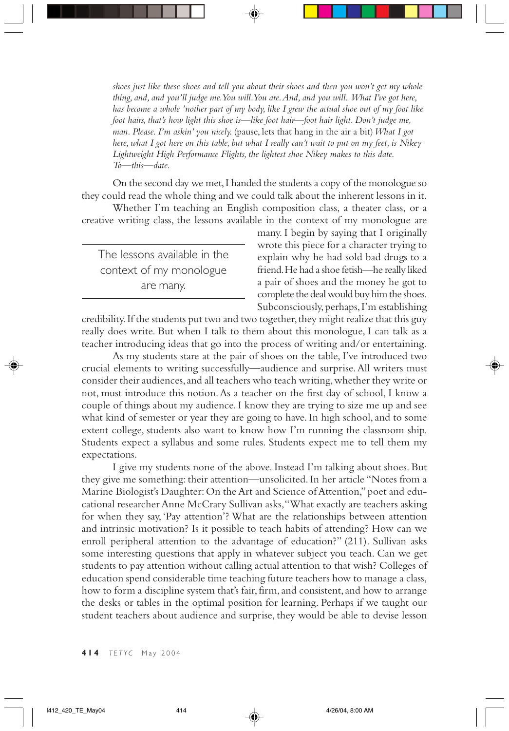*shoes just like these shoes and tell you about their shoes and then you won't get my whole thing, and, and you'll judge me. You will. You are. And, and you will. What I've got here, has become a whole 'nother part of my body, like I grew the actual shoe out of my foot like foot hairs, that's how light this shoe is—like foot hair—foot hair light. Don't judge me, man. Please. I'm askin' you nicely.* (pause, lets that hang in the air a bit)*What I got here, what I got here on this table, but what I really can't wait to put on my feet, is Nikey Lightweight High Performance Flights, the lightest shoe Nikey makes to this date. To—this—date.*

On the second day we met, I handed the students a copy of the monologue so they could read the whole thing and we could talk about the inherent lessons in it.

Whether I'm teaching an English composition class, a theater class, or a creative writing class, the lessons available in the context of my monologue are

The lessons available in the context of my monologue are many.

many. I begin by saying that I originally wrote this piece for a character trying to explain why he had sold bad drugs to a friend. He had a shoe fetish—he really liked a pair of shoes and the money he got to complete the deal would buy him the shoes. Subconsciously, perhaps, I'm establishing

credibility. If the students put two and two together, they might realize that this guy really does write. But when I talk to them about this monologue, I can talk as a teacher introducing ideas that go into the process of writing and/or entertaining.

As my students stare at the pair of shoes on the table, I've introduced two crucial elements to writing successfully—audience and surprise. All writers must consider their audiences, and all teachers who teach writing, whether they write or not, must introduce this notion. As a teacher on the first day of school, I know a couple of things about my audience. I know they are trying to size me up and see what kind of semester or year they are going to have. In high school, and to some extent college, students also want to know how I'm running the classroom ship. Students expect a syllabus and some rules. Students expect me to tell them my expectations.

I give my students none of the above. Instead I'm talking about shoes. But they give me something: their attention—unsolicited. In her article "Notes from a Marine Biologist's Daughter: On the Art and Science of Attention," poet and educational researcher Anne McCrary Sullivan asks, "What exactly are teachers asking for when they say, 'Pay attention'? What are the relationships between attention and intrinsic motivation? Is it possible to teach habits of attending? How can we enroll peripheral attention to the advantage of education?" (211). Sullivan asks some interesting questions that apply in whatever subject you teach. Can we get students to pay attention without calling actual attention to that wish? Colleges of education spend considerable time teaching future teachers how to manage a class, how to form a discipline system that's fair, firm, and consistent, and how to arrange the desks or tables in the optimal position for learning. Perhaps if we taught our student teachers about audience and surprise, they would be able to devise lesson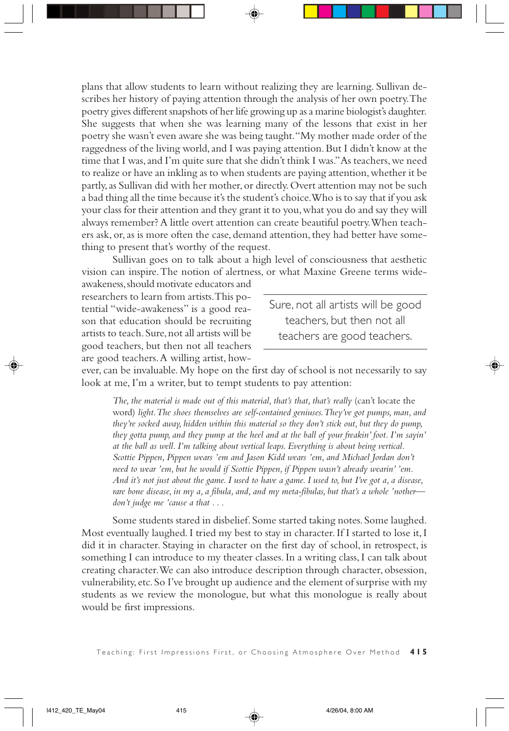plans that allow students to learn without realizing they are learning. Sullivan describes her history of paying attention through the analysis of her own poetry. The poetry gives different snapshots of her life growing up as a marine biologist's daughter. She suggests that when she was learning many of the lessons that exist in her poetry she wasn't even aware she was being taught. "My mother made order of the raggedness of the living world, and I was paying attention. But I didn't know at the time that I was, and I'm quite sure that she didn't think I was." As teachers, we need to realize or have an inkling as to when students are paying attention, whether it be partly, as Sullivan did with her mother, or directly. Overt attention may not be such a bad thing all the time because it's the student's choice. Who is to say that if you ask your class for their attention and they grant it to you, what you do and say they will always remember? A little overt attention can create beautiful poetry. When teachers ask, or, as is more often the case, demand attention, they had better have something to present that's worthy of the request.

Sullivan goes on to talk about a high level of consciousness that aesthetic vision can inspire. The notion of alertness, or what Maxine Greene terms wide-

awakeness, should motivate educators and researchers to learn from artists. This potential "wide-awakeness" is a good reason that education should be recruiting artists to teach. Sure, not all artists will be good teachers, but then not all teachers are good teachers. A willing artist, how-

Sure, not all artists will be good teachers, but then not all teachers are good teachers.

ever, can be invaluable. My hope on the first day of school is not necessarily to say look at me, I'm a writer, but to tempt students to pay attention:

The, the material is made out of this material, that's that, that's really (can't locate the word) *light. The shoes themselves are self-contained geniuses. They've got pumps, man, and they're socked away, hidden within this material so they don't stick out, but they do pump, they gotta pump, and they pump at the heel and at the ball of your freakin' foot. I'm sayin' at the ball as well. I'm talking about vertical leaps. Everything is about being vertical. Scottie Pippen, Pippen wears 'em and Jason Kidd wears 'em, and Michael Jordan don't need to wear 'em, but he would if Scottie Pippen, if Pippen wasn't already wearin' 'em. And it's not just about the game. I used to have a game. I used to, but I've got a, a disease, rare bone disease, in my a, a fibula, and, and my meta-fibulas, but that's a whole 'nother don't judge me 'cause a that . . .*

Some students stared in disbelief. Some started taking notes. Some laughed. Most eventually laughed. I tried my best to stay in character. If I started to lose it, I did it in character. Staying in character on the first day of school, in retrospect, is something I can introduce to my theater classes. In a writing class, I can talk about creating character. We can also introduce description through character, obsession, vulnerability, etc. So I've brought up audience and the element of surprise with my students as we review the monologue, but what this monologue is really about would be first impressions.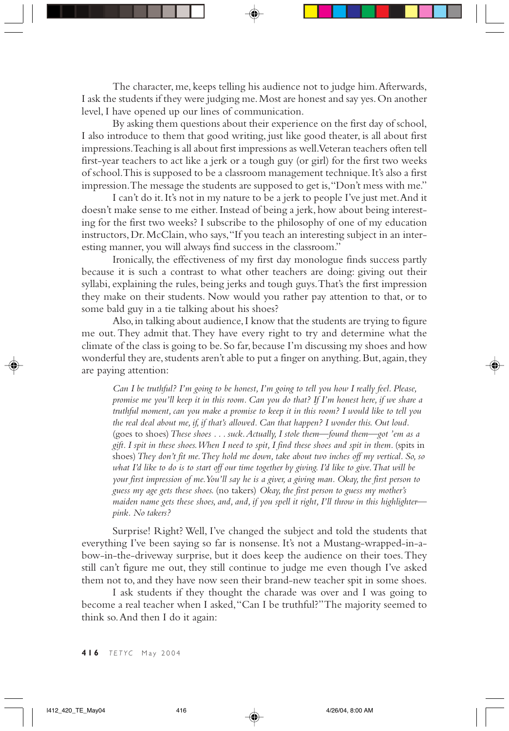The character, me, keeps telling his audience not to judge him. Afterwards, I ask the students if they were judging me. Most are honest and say yes. On another level, I have opened up our lines of communication.

By asking them questions about their experience on the first day of school, I also introduce to them that good writing, just like good theater, is all about first impressions. Teaching is all about first impressions as well. Veteran teachers often tell first-year teachers to act like a jerk or a tough guy (or girl) for the first two weeks of school. This is supposed to be a classroom management technique. It's also a first impression. The message the students are supposed to get is, "Don't mess with me."

I can't do it. It's not in my nature to be a jerk to people I've just met. And it doesn't make sense to me either. Instead of being a jerk, how about being interesting for the first two weeks? I subscribe to the philosophy of one of my education instructors, Dr. McClain, who says, "If you teach an interesting subject in an interesting manner, you will always find success in the classroom."

Ironically, the effectiveness of my first day monologue finds success partly because it is such a contrast to what other teachers are doing: giving out their syllabi, explaining the rules, being jerks and tough guys. That's the first impression they make on their students. Now would you rather pay attention to that, or to some bald guy in a tie talking about his shoes?

Also, in talking about audience, I know that the students are trying to figure me out. They admit that. They have every right to try and determine what the climate of the class is going to be. So far, because I'm discussing my shoes and how wonderful they are, students aren't able to put a finger on anything. But, again, they are paying attention:

*Can I be truthful? I'm going to be honest, I'm going to tell you how I really feel. Please, promise me you'll keep it in this room. Can you do that? If I'm honest here, if we share a truthful moment, can you make a promise to keep it in this room? I would like to tell you the real deal about me, if, if that's allowed. Can that happen? I wonder this. Out loud.* (goes to shoes)*These shoes . . . suck. Actually, I stole them—found them—got 'em as a gift. I spit in these shoes. When I need to spit, I find these shoes and spit in them.* (spits in shoes)*They don't fit me. They hold me down, take about two inches off my vertical. So, so what I'd like to do is to start off our time together by giving. I'd like to give. That will be your first impression of me. You'll say he is a giver, a giving man. Okay, the first person to guess my age gets these shoes.* (no takers) *Okay, the first person to guess my mother's maiden name gets these shoes, and, and, if you spell it right, I'll throw in this highlighter pink. No takers?*

Surprise! Right? Well, I've changed the subject and told the students that everything I've been saying so far is nonsense. It's not a Mustang-wrapped-in-abow-in-the-driveway surprise, but it does keep the audience on their toes. They still can't figure me out, they still continue to judge me even though I've asked them not to, and they have now seen their brand-new teacher spit in some shoes.

I ask students if they thought the charade was over and I was going to become a real teacher when I asked, "Can I be truthful?" The majority seemed to think so. And then I do it again: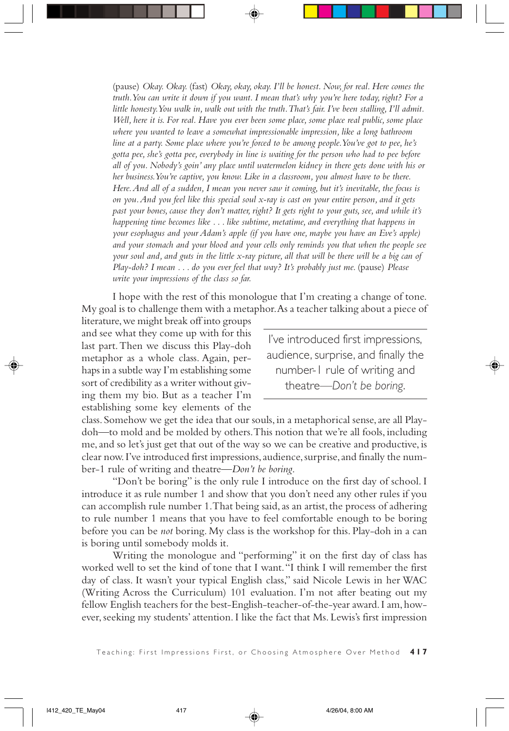(pause) *Okay. Okay.* (fast) *Okay, okay, okay. I'll be honest. Now, for real. Here comes the truth. You can write it down if you want. I mean that's why you're here today, right? For a little honesty. You walk in, walk out with the truth. That's fair. I've been stalling, I'll admit. Well, here it is. For real. Have you ever been some place, some place real public, some place where you wanted to leave a somewhat impressionable impression, like a long bathroom line at a party. Some place where you're forced to be among people. You've got to pee, he's gotta pee, she's gotta pee, everybody in line is waiting for the person who had to pee before all of you. Nobody's goin' any place until watermelon kidney in there gets done with his or her business. You're captive, you know. Like in a classroom, you almost have to be there. Here. And all of a sudden, I mean you never saw it coming, but it's inevitable, the focus is on you. And you feel like this special soul x-ray is cast on your entire person, and it gets past your bones, cause they don't matter, right? It gets right to your guts, see, and while it's happening time becomes like . . . like subtime, metatime, and everything that happens in your esophagus and your Adam's apple (if you have one, maybe you have an Eve's apple) and your stomach and your blood and your cells only reminds you that when the people see your soul and, and guts in the little x-ray picture, all that will be there will be a big can of Play-doh? I mean . . . do you ever feel that way? It's probably just me. (pause) Please write your impressions of the class so far.*

I hope with the rest of this monologue that I'm creating a change of tone. My goal is to challenge them with a metaphor. As a teacher talking about a piece of

literature, we might break off into groups and see what they come up with for this last part. Then we discuss this Play-doh metaphor as a whole class. Again, perhaps in a subtle way I'm establishing some sort of credibility as a writer without giving them my bio. But as a teacher I'm establishing some key elements of the

I've introduced first impressions, audience, surprise, and finally the number-1 rule of writing and theatre—*Don't be boring*.

class. Somehow we get the idea that our souls, in a metaphorical sense, are all Playdoh—to mold and be molded by others. This notion that we're all fools, including me, and so let's just get that out of the way so we can be creative and productive, is clear now. I've introduced first impressions, audience, surprise, and finally the number-1 rule of writing and theatre—*Don't be boring*.

"Don't be boring" is the only rule I introduce on the first day of school. I introduce it as rule number 1 and show that you don't need any other rules if you can accomplish rule number 1. That being said, as an artist, the process of adhering to rule number 1 means that you have to feel comfortable enough to be boring before you can be *not* boring. My class is the workshop for this. Play-doh in a can is boring until somebody molds it.

Writing the monologue and "performing" it on the first day of class has worked well to set the kind of tone that I want. "I think I will remember the first day of class. It wasn't your typical English class," said Nicole Lewis in her WAC (Writing Across the Curriculum) 101 evaluation. I'm not after beating out my fellow English teachers for the best-English-teacher-of-the-year award. I am, however, seeking my students' attention. I like the fact that Ms. Lewis's first impression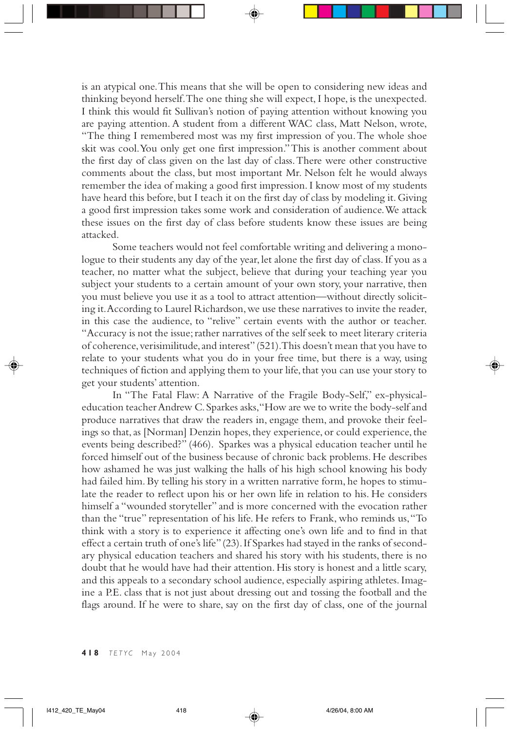is an atypical one. This means that she will be open to considering new ideas and thinking beyond herself. The one thing she will expect, I hope, is the unexpected. I think this would fit Sullivan's notion of paying attention without knowing you are paying attention. A student from a different WAC class, Matt Nelson, wrote, "The thing I remembered most was my first impression of you. The whole shoe skit was cool. You only get one first impression." This is another comment about the first day of class given on the last day of class. There were other constructive comments about the class, but most important Mr. Nelson felt he would always remember the idea of making a good first impression. I know most of my students have heard this before, but I teach it on the first day of class by modeling it. Giving a good first impression takes some work and consideration of audience. We attack these issues on the first day of class before students know these issues are being attacked.

Some teachers would not feel comfortable writing and delivering a monologue to their students any day of the year, let alone the first day of class. If you as a teacher, no matter what the subject, believe that during your teaching year you subject your students to a certain amount of your own story, your narrative, then you must believe you use it as a tool to attract attention—without directly soliciting it. According to Laurel Richardson, we use these narratives to invite the reader, in this case the audience, to "relive" certain events with the author or teacher. "Accuracy is not the issue; rather narratives of the self seek to meet literary criteria of coherence, verisimilitude, and interest" (521). This doesn't mean that you have to relate to your students what you do in your free time, but there is a way, using techniques of fiction and applying them to your life, that you can use your story to get your students' attention.

In "The Fatal Flaw: A Narrative of the Fragile Body-Self," ex-physicaleducation teacher Andrew C. Sparkes asks, "How are we to write the body-self and produce narratives that draw the readers in, engage them, and provoke their feelings so that, as [Norman] Denzin hopes, they experience, or could experience, the events being described?" (466). Sparkes was a physical education teacher until he forced himself out of the business because of chronic back problems. He describes how ashamed he was just walking the halls of his high school knowing his body had failed him. By telling his story in a written narrative form, he hopes to stimulate the reader to reflect upon his or her own life in relation to his. He considers himself a "wounded storyteller" and is more concerned with the evocation rather than the "true" representation of his life. He refers to Frank, who reminds us, "To think with a story is to experience it affecting one's own life and to find in that effect a certain truth of one's life" (23). If Sparkes had stayed in the ranks of secondary physical education teachers and shared his story with his students, there is no doubt that he would have had their attention. His story is honest and a little scary, and this appeals to a secondary school audience, especially aspiring athletes. Imagine a P.E. class that is not just about dressing out and tossing the football and the flags around. If he were to share, say on the first day of class, one of the journal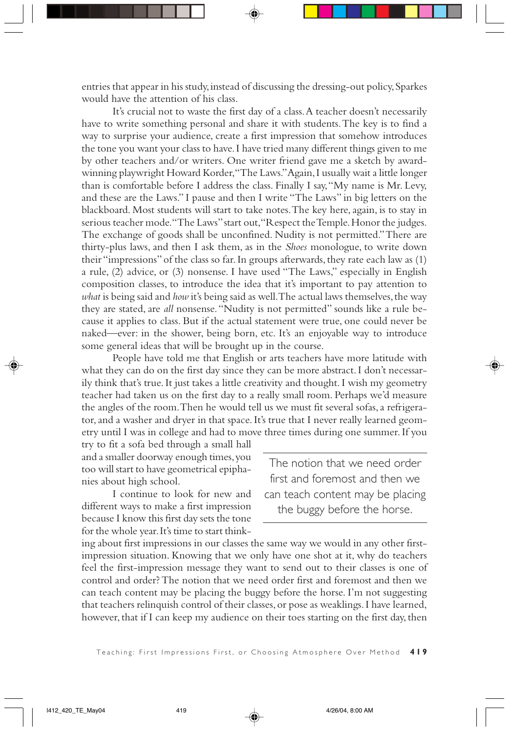entries that appear in his study, instead of discussing the dressing-out policy, Sparkes would have the attention of his class.

It's crucial not to waste the first day of a class. A teacher doesn't necessarily have to write something personal and share it with students. The key is to find a way to surprise your audience, create a first impression that somehow introduces the tone you want your class to have. I have tried many different things given to me by other teachers and/or writers. One writer friend gave me a sketch by awardwinning playwright Howard Korder, "The Laws." Again, I usually wait a little longer than is comfortable before I address the class. Finally I say, "My name is Mr. Levy, and these are the Laws." I pause and then I write "The Laws" in big letters on the blackboard. Most students will start to take notes. The key here, again, is to stay in serious teacher mode. "The Laws" start out, "Respect the Temple. Honor the judges. The exchange of goods shall be unconfined. Nudity is not permitted." There are thirty-plus laws, and then I ask them, as in the *Shoes* monologue, to write down their "impressions" of the class so far. In groups afterwards, they rate each law as (1) a rule, (2) advice, or (3) nonsense. I have used "The Laws," especially in English composition classes, to introduce the idea that it's important to pay attention to *what* is being said and *how* it's being said as well. The actual laws themselves, the way they are stated, are *all* nonsense. "Nudity is not permitted" sounds like a rule because it applies to class. But if the actual statement were true, one could never be naked—ever: in the shower, being born, etc. It's an enjoyable way to introduce some general ideas that will be brought up in the course.

People have told me that English or arts teachers have more latitude with what they can do on the first day since they can be more abstract. I don't necessarily think that's true. It just takes a little creativity and thought. I wish my geometry teacher had taken us on the first day to a really small room. Perhaps we'd measure the angles of the room. Then he would tell us we must fit several sofas, a refrigerator, and a washer and dryer in that space. It's true that I never really learned geometry until I was in college and had to move three times during one summer. If you

try to fit a sofa bed through a small hall and a smaller doorway enough times, you too will start to have geometrical epiphanies about high school.

I continue to look for new and different ways to make a first impression because I know this first day sets the tone for the whole year. It's time to start think-

The notion that we need order first and foremost and then we can teach content may be placing the buggy before the horse.

ing about first impressions in our classes the same way we would in any other firstimpression situation. Knowing that we only have one shot at it, why do teachers feel the first-impression message they want to send out to their classes is one of control and order? The notion that we need order first and foremost and then we can teach content may be placing the buggy before the horse. I'm not suggesting that teachers relinquish control of their classes, or pose as weaklings. I have learned, however, that if I can keep my audience on their toes starting on the first day, then